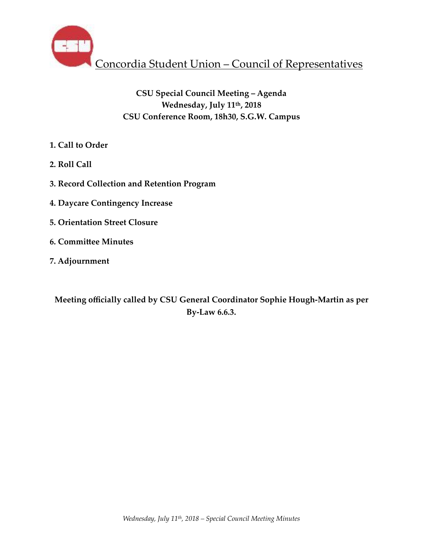

# **CSU Special Council Meeting – Agenda Wednesday, July 11th, 2018 CSU Conference Room, 18h30, S.G.W. Campus**

- **1. Call to Order**
- **2. Roll Call**
- **3. Record Collection and Retention Program**
- **4. Daycare Contingency Increase**
- **5. Orientation Street Closure**
- **6. Committee Minutes**
- **7. Adjournment**

**Meeting officially called by CSU General Coordinator Sophie Hough-Martin as per By-Law 6.6.3.**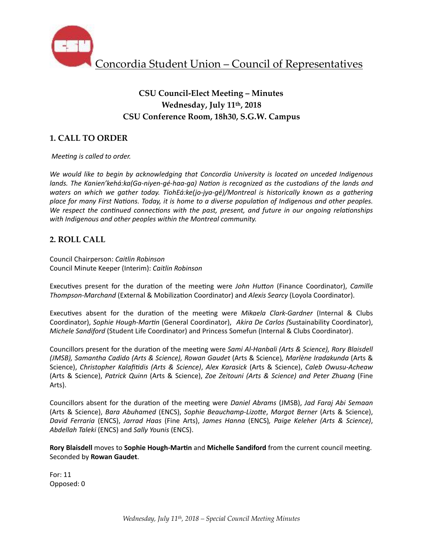

# **CSU Council-Elect Meeting – Minutes Wednesday, July 11th, 2018 CSU Conference Room, 18h30, S.G.W. Campus**

## **1. CALL TO ORDER**

*Meeting is called to order.* 

We would like to begin by acknowledging that Concordia University is located on unceded Indigenous *lands.* The Kanien'kehá:ka(Ga-niyen-gé-haa-ga) Nation is recognized as the custodians of the lands and *waters* on which we gather today. TiohEá:ke(jo-jya-gé)/Montreal is historically known as a gathering place for many First Nations. Today, it is home to a diverse population of Indigenous and other peoples. *We respect the continued connections with the past, present, and future in our ongoing relationships* with Indigenous and other peoples within the Montreal community.

### **2. ROLL CALL**

Council Chairperson: *Caitlin Robinson* Council Minute Keeper (Interim): *Caitlin Robinson*

Executives present for the duration of the meeting were *John Hutton* (Finance Coordinator), *Camille Thompson-Marchand* (External & Mobilization Coordinator) and *Alexis Searcy* (Loyola Coordinator).

Executives absent for the duration of the meeting were *Mikaela Clark-Gardner* (Internal & Clubs Coordinator), *Sophie Hough-Martin* (General Coordinator), Akira De Carlos (Sustainability Coordinator), *Michele Sandiford* (Student Life Coordinator) and Princess Somefun (Internal & Clubs Coordinator).

Councillors present for the duration of the meeting were *Sami Al-Hanbali (Arts & Science), Rory Blaisdell (JMSB), Samantha Cadido (Arts & Science), Rowan Gaudet* (Arts & Science)*, Marlène Iradakunda* (Arts & Science), *Christopher Kalafitidis (Arts & Science)*, *Alex Karasick* (Arts & Science), *Caleb Owusu-Acheaw* (Arts & Science), *Patrick Quinn* (Arts & Science), *Zoe Zeitouni (Arts & Science) and Peter Zhuang* (Fine Arts). 

Councillors absent for the duration of the meeting were *Daniel Abrams* (JMSB), *Jad Faraj Abi Semaan* (Arts & Science), *Bara Abuhamed* (ENCS), *Sophie Beauchamp-Lizotte, Margot Berner* (Arts & Science), *David Ferraria*  (ENCS), *Jarrad Haas*  (Fine Arts), *James Hanna*  (ENCS)*, Paige Keleher (Arts & Science)*, *Abdellah Taleki* (ENCS) and *Sally Younis* (ENCS). 

Rory Blaisdell moves to Sophie Hough-Martin and Michelle Sandiford from the current council meeting. Seconded by **Rowan Gaudet**. 

For: 11 Opposed: 0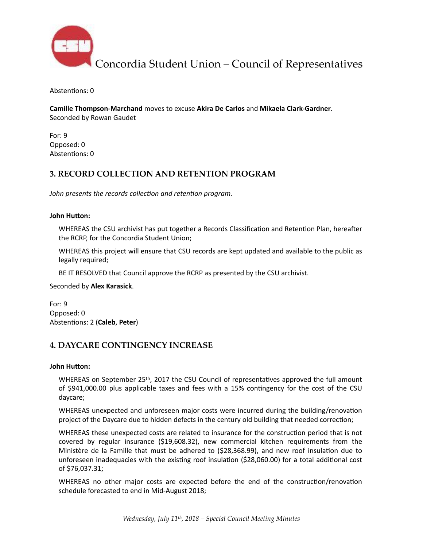

Concordia Student Union – Council of Representatives

Abstentions: 0

**Camille Thompson-Marchand** moves to excuse Akira De Carlos and Mikaela Clark-Gardner. Seconded by Rowan Gaudet

For: 9 Opposed: 0 Abstentions: 0

### **3. RECORD COLLECTION AND RETENTION PROGRAM**

John presents the records collection and retention program.

#### **John Hutton:**

WHEREAS the CSU archivist has put together a Records Classification and Retention Plan, hereafter the RCRP, for the Concordia Student Union;

WHEREAS this project will ensure that CSU records are kept updated and available to the public as legally required;

BE IT RESOLVED that Council approve the RCRP as presented by the CSU archivist.

Seconded by **Alex Karasick**. 

For: 9 Opposed: 0 Abstentions: 2 (Caleb, Peter)

### **4. DAYCARE CONTINGENCY INCREASE**

#### **John Hutton:**

WHEREAS on September  $25<sup>th</sup>$ , 2017 the CSU Council of representatives approved the full amount of \$941,000.00 plus applicable taxes and fees with a 15% contingency for the cost of the CSU daycare; 

WHEREAS unexpected and unforeseen major costs were incurred during the building/renovation project of the Daycare due to hidden defects in the century old building that needed correction;

WHEREAS these unexpected costs are related to insurance for the construction period that is not covered by regular insurance (\$19,608.32), new commercial kitchen requirements from the Ministère de la Famille that must be adhered to  $(528,368.99)$ , and new roof insulation due to unforeseen inadequacies with the existing roof insulation (\$28,060.00) for a total additional cost of \$76,037.31; 

WHEREAS no other major costs are expected before the end of the construction/renovation schedule forecasted to end in Mid-August 2018;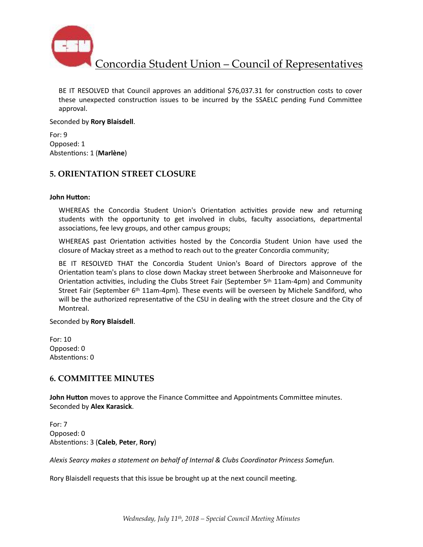

Concordia Student Union – Council of Representatives

BE IT RESOLVED that Council approves an additional \$76,037.31 for construction costs to cover these unexpected construction issues to be incurred by the SSAELC pending Fund Committee approval. 

Seconded by **Rory Blaisdell**.

For: 9 Opposed: 1 Abstentions: 1 (Marlène)

#### **5. ORIENTATION STREET CLOSURE**

#### **John Hutton:**

WHEREAS the Concordia Student Union's Orientation activities provide new and returning students with the opportunity to get involved in clubs, faculty associations, departmental associations, fee levy groups, and other campus groups;

WHEREAS past Orientation activities hosted by the Concordia Student Union have used the closure of Mackay street as a method to reach out to the greater Concordia community;

BE IT RESOLVED THAT the Concordia Student Union's Board of Directors approve of the Orientation team's plans to close down Mackay street between Sherbrooke and Maisonneuve for Orientation activities, including the Clubs Street Fair (September  $5<sup>th</sup> 11$ am-4pm) and Community Street Fair (September  $6<sup>th</sup> 11$ am-4pm). These events will be overseen by Michele Sandiford, who will be the authorized representative of the CSU in dealing with the street closure and the City of Montreal. 

Seconded by **Rory Blaisdell**. 

For: 10 Opposed: 0 Abstentions: 0

#### **6. COMMITTEE MINUTES**

**John Hutton** moves to approve the Finance Committee and Appointments Committee minutes. Seconded by **Alex Karasick**. 

For: 7 Opposed: 0 Abstentions: 3 (Caleb, Peter, Rory)

Alexis Searcy makes a statement on behalf of Internal & Clubs Coordinator Princess Somefun.

Rory Blaisdell requests that this issue be brought up at the next council meeting.